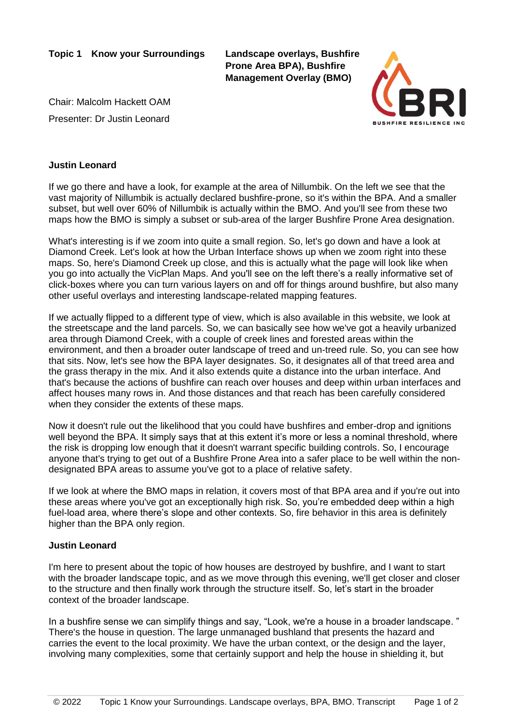**Topic 1 Know your Surroundings Landscape overlays, Bushfire** 

**Prone Area BPA), Bushfire Management Overlay (BMO)**

Chair: Malcolm Hackett OAM Presenter: Dr Justin Leonard



## **Justin Leonard**

If we go there and have a look, for example at the area of Nillumbik. On the left we see that the vast majority of Nillumbik is actually declared bushfire-prone, so it's within the BPA. And a smaller subset, but well over 60% of Nillumbik is actually within the BMO. And you'll see from these two maps how the BMO is simply a subset or sub-area of the larger Bushfire Prone Area designation.

What's interesting is if we zoom into quite a small region. So, let's go down and have a look at Diamond Creek. Let's look at how the Urban Interface shows up when we zoom right into these maps. So, here's Diamond Creek up close, and this is actually what the page will look like when you go into actually the VicPlan Maps. And you'll see on the left there's a really informative set of click-boxes where you can turn various layers on and off for things around bushfire, but also many other useful overlays and interesting landscape-related mapping features.

If we actually flipped to a different type of view, which is also available in this website, we look at the streetscape and the land parcels. So, we can basically see how we've got a heavily urbanized area through Diamond Creek, with a couple of creek lines and forested areas within the environment, and then a broader outer landscape of treed and un-treed rule. So, you can see how that sits. Now, let's see how the BPA layer designates. So, it designates all of that treed area and the grass therapy in the mix. And it also extends quite a distance into the urban interface. And that's because the actions of bushfire can reach over houses and deep within urban interfaces and affect houses many rows in. And those distances and that reach has been carefully considered when they consider the extents of these maps.

Now it doesn't rule out the likelihood that you could have bushfires and ember-drop and ignitions well beyond the BPA. It simply says that at this extent it's more or less a nominal threshold, where the risk is dropping low enough that it doesn't warrant specific building controls. So, I encourage anyone that's trying to get out of a Bushfire Prone Area into a safer place to be well within the nondesignated BPA areas to assume you've got to a place of relative safety.

If we look at where the BMO maps in relation, it covers most of that BPA area and if you're out into these areas where you've got an exceptionally high risk. So, you're embedded deep within a high fuel-load area, where there's slope and other contexts. So, fire behavior in this area is definitely higher than the BPA only region.

## **Justin Leonard**

I'm here to present about the topic of how houses are destroyed by bushfire, and I want to start with the broader landscape topic, and as we move through this evening, we'll get closer and closer to the structure and then finally work through the structure itself. So, let's start in the broader context of the broader landscape.

In a bushfire sense we can simplify things and say, "Look, we're a house in a broader landscape. " There's the house in question. The large unmanaged bushland that presents the hazard and carries the event to the local proximity. We have the urban context, or the design and the layer, involving many complexities, some that certainly support and help the house in shielding it, but